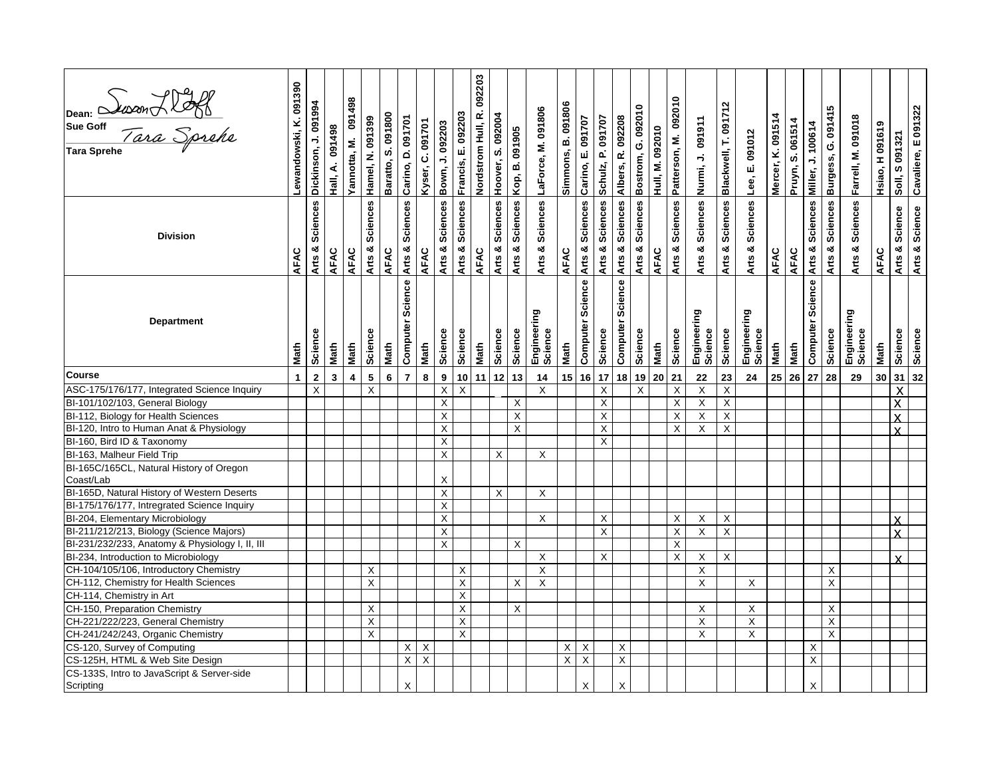| Dean: 2000n XIX<br>Sue Goff<br>Tara Sprehe              | Lewandowski, K. 091390 | Dickinson, J. 091994      | Hall, A. 091498 | 091498<br>Yannotta, M.  | Hamel, N. 091399        | Baratto, S. 091800 | Carino, D. 091701   | Kyser, C. 091701          | Bown, J. 092203         | Francis, E. 092203 | Nordstrom Hull, R. 092203 | Arts & Sciences Hoover, S. 092004 | Kop, B. 091905  | LaForce, M. 091806        | Simmons, B. 091806 | Carino, E. 091707   | Schulz, P. 091707       | Albers, R. 092208         | Bostrom, G. 092010        | Hull, M. 092010 | Patterson, M. 092010    | Nurmi, J. 091911          | Arts & Sciences Blackwell, T. 091712 | Lee, E. 091012         | Mercer, K. 091514 | Pruyn, S. 061514 | Miller, J. 100614   | Burgess, G. 091415 | Farrell, M. 091018     | Hsiao, H 091619 | Soll, S 091321          | Cavaliere, E 091322             |
|---------------------------------------------------------|------------------------|---------------------------|-----------------|-------------------------|-------------------------|--------------------|---------------------|---------------------------|-------------------------|--------------------|---------------------------|-----------------------------------|-----------------|---------------------------|--------------------|---------------------|-------------------------|---------------------------|---------------------------|-----------------|-------------------------|---------------------------|--------------------------------------|------------------------|-------------------|------------------|---------------------|--------------------|------------------------|-----------------|-------------------------|---------------------------------|
| <b>Division</b>                                         | AFAC                   | <b>Sciences</b><br>Arts & | AFAC            | AFAC                    | Arts & Sciences         | AFAC               | Arts & Sciences     | AFAC                      | Arts & Sciences         | Arts & Sciences    | AFAC                      |                                   | Arts & Sciences | Arts & Sciences           | AFAC               | Arts & Sciences     | Arts & Sciences         | Arts & Sciences           | Arts & Sciences           | AFAC            | Arts & Sciences         | Arts & Sciences           |                                      | Arts & Sciences        | <b>AFAC</b>       | AFAC             | Arts & Sciences     | Arts & Sciences    | Arts & Sciences        | AFAC            | Arts & Science          | Arts & Science                  |
| <b>Department</b>                                       | Math                   | Science                   | Math            | Math                    | Science                 | Math               | Science<br>Computer | Math                      | Science                 | Science            | Math                      | Science                           | Science         | Engineering<br>Science    | Math               | Science<br>Computer | Science                 | Science<br>Computer       | Science                   | Math            | Science                 | Engineering<br>Science    | Science                              | Engineering<br>Science | Math              | Math             | Science<br>Computer | Science            | Engineering<br>Science | Math            | Science                 | Science                         |
| <b>Course</b>                                           | $\mathbf 1$            | $\mathbf 2$               | $\mathbf{3}$    | $\overline{\mathbf{4}}$ | $\overline{\mathbf{5}}$ | $6\phantom{a}$     | $\overline{7}$      | 8                         | $\boldsymbol{9}$        | 10                 | 11                        | $12$                              | 13              | 14                        |                    | $15$   16           | $17$                    | 18                        | 19                        | 20              | 21                      | ${\bf 22}$                | 23                                   | 24                     |                   | 25 26            | 27                  | 28                 | 29                     | 30              |                         | $31 \overline{\smash{\big)}32}$ |
| ASC-175/176/177, Integrated Science Inquiry             |                        | $\mathsf X$               |                 |                         | $\mathsf{X}$            |                    |                     |                           | $\overline{X}$          | X                  |                           |                                   |                 | X                         |                    |                     | $\overline{\mathsf{X}}$ |                           | $\boldsymbol{\mathsf{X}}$ |                 | $\overline{X}$          | $\overline{X}$            | $\overline{X}$                       |                        |                   |                  |                     |                    |                        |                 | $\overline{\mathsf{x}}$ |                                 |
| BI-101/102/103, General Biology                         |                        |                           |                 |                         |                         |                    |                     |                           | $\overline{X}$          |                    |                           |                                   | $\times$        |                           |                    |                     | $\overline{X}$          |                           |                           |                 | $\overline{X}$          | $\overline{\mathsf{x}}$   | $\overline{\mathsf{x}}$              |                        |                   |                  |                     |                    |                        |                 | $\overline{\mathsf{x}}$ |                                 |
| BI-112, Biology for Health Sciences                     |                        |                           |                 |                         |                         |                    |                     |                           | $\overline{\mathsf{X}}$ |                    |                           |                                   | $\overline{X}$  |                           |                    |                     | X                       |                           |                           |                 | $\overline{\mathsf{x}}$ | $\overline{X}$            | $\overline{\mathsf{x}}$              |                        |                   |                  |                     |                    |                        |                 | $\overline{\mathsf{x}}$ |                                 |
| BI-120, Intro to Human Anat & Physiology                |                        |                           |                 |                         |                         |                    |                     |                           | $\overline{\mathsf{X}}$ |                    |                           |                                   | $\times$        |                           |                    |                     | $\overline{\mathsf{x}}$ |                           |                           |                 | $\sf X$                 | X                         | $\times$                             |                        |                   |                  |                     |                    |                        |                 | Ý                       |                                 |
| BI-160, Bird ID & Taxonomy                              |                        |                           |                 |                         |                         |                    |                     |                           | Χ                       |                    |                           |                                   |                 |                           |                    |                     | X                       |                           |                           |                 |                         |                           |                                      |                        |                   |                  |                     |                    |                        |                 |                         |                                 |
| BI-163, Malheur Field Trip                              |                        |                           |                 |                         |                         |                    |                     |                           | X                       |                    |                           | X                                 |                 | X                         |                    |                     |                         |                           |                           |                 |                         |                           |                                      |                        |                   |                  |                     |                    |                        |                 |                         |                                 |
| BI-165C/165CL, Natural History of Oregon                |                        |                           |                 |                         |                         |                    |                     |                           |                         |                    |                           |                                   |                 |                           |                    |                     |                         |                           |                           |                 |                         |                           |                                      |                        |                   |                  |                     |                    |                        |                 |                         |                                 |
| Coast/Lab                                               |                        |                           |                 |                         |                         |                    |                     |                           | X                       |                    |                           |                                   |                 |                           |                    |                     |                         |                           |                           |                 |                         |                           |                                      |                        |                   |                  |                     |                    |                        |                 |                         |                                 |
| BI-165D, Natural History of Western Deserts             |                        |                           |                 |                         |                         |                    |                     |                           | $\overline{\mathsf{X}}$ |                    |                           | $\mathsf{X}$                      |                 | X                         |                    |                     |                         |                           |                           |                 |                         |                           |                                      |                        |                   |                  |                     |                    |                        |                 |                         |                                 |
| BI-175/176/177, Intregrated Science Inquiry             |                        |                           |                 |                         |                         |                    |                     |                           | $\overline{X}$          |                    |                           |                                   |                 |                           |                    |                     |                         |                           |                           |                 |                         |                           |                                      |                        |                   |                  |                     |                    |                        |                 |                         |                                 |
| BI-204, Elementary Microbiology                         |                        |                           |                 |                         |                         |                    |                     |                           | X                       |                    |                           |                                   |                 | X                         |                    |                     | X                       |                           |                           |                 | X                       | X                         | X                                    |                        |                   |                  |                     |                    |                        |                 |                         |                                 |
| BI-211/212/213, Biology (Science Majors)                |                        |                           |                 |                         |                         |                    |                     |                           | $\sf X$                 |                    |                           |                                   |                 |                           |                    |                     | $\mathsf{X}$            |                           |                           |                 | $\mathsf{X}$            | $\pmb{\times}$            | $\mathsf X$                          |                        |                   |                  |                     |                    |                        |                 | X                       |                                 |
| BI-231/232/233, Anatomy & Physiology I, II, III         |                        |                           |                 |                         |                         |                    |                     |                           | X                       |                    |                           |                                   | $\times$        |                           |                    |                     |                         |                           |                           |                 | Χ                       |                           |                                      |                        |                   |                  |                     |                    |                        |                 |                         |                                 |
| BI-234, Introduction to Microbiology                    |                        |                           |                 |                         |                         |                    |                     |                           |                         |                    |                           |                                   |                 | X                         |                    |                     | X                       |                           |                           |                 | Χ                       | X                         | X                                    |                        |                   |                  |                     |                    |                        |                 | X                       |                                 |
| CH-104/105/106, Introductory Chemistry                  |                        |                           |                 |                         | X                       |                    |                     |                           |                         | X                  |                           |                                   |                 | $\mathsf X$               |                    |                     |                         |                           |                           |                 |                         | $\sf X$                   |                                      |                        |                   |                  |                     | X                  |                        |                 |                         |                                 |
| CH-112, Chemistry for Health Sciences                   |                        |                           |                 |                         | $\mathsf{X}$            |                    |                     |                           |                         | $\sf X$            |                           |                                   | X               | $\boldsymbol{\mathsf{X}}$ |                    |                     |                         |                           |                           |                 |                         | $\boldsymbol{\mathsf{X}}$ |                                      | X                      |                   |                  |                     | $\mathsf X$        |                        |                 |                         |                                 |
| CH-114, Chemistry in Art                                |                        |                           |                 |                         |                         |                    |                     |                           |                         | X                  |                           |                                   |                 |                           |                    |                     |                         |                           |                           |                 |                         |                           |                                      |                        |                   |                  |                     |                    |                        |                 |                         |                                 |
| CH-150, Preparation Chemistry                           |                        |                           |                 |                         | $\overline{\mathsf{x}}$ |                    |                     |                           |                         | $\mathsf X$        |                           |                                   | $\times$        |                           |                    |                     |                         |                           |                           |                 |                         | X                         |                                      | X                      |                   |                  |                     | $\mathsf X$        |                        |                 |                         |                                 |
| CH-221/222/223, General Chemistry                       |                        |                           |                 |                         | Χ                       |                    |                     |                           |                         | X                  |                           |                                   |                 |                           |                    |                     |                         |                           |                           |                 |                         | X                         |                                      | X                      |                   |                  |                     | $\mathsf X$        |                        |                 |                         |                                 |
| CH-241/242/243, Organic Chemistry                       |                        |                           |                 |                         | X                       |                    |                     |                           |                         | X                  |                           |                                   |                 |                           |                    |                     |                         |                           |                           |                 |                         | X                         |                                      | X                      |                   |                  |                     | $\mathsf X$        |                        |                 |                         |                                 |
| CS-120, Survey of Computing                             |                        |                           |                 |                         |                         |                    | X                   | X                         |                         |                    |                           |                                   |                 |                           | X                  | X                   |                         | X                         |                           |                 |                         |                           |                                      |                        |                   |                  | X                   |                    |                        |                 |                         |                                 |
| CS-125H, HTML & Web Site Design                         |                        |                           |                 |                         |                         |                    | $\mathsf{X}$        | $\boldsymbol{\mathsf{X}}$ |                         |                    |                           |                                   |                 |                           | X                  | $\mathsf X$         |                         | $\boldsymbol{\mathsf{X}}$ |                           |                 |                         |                           |                                      |                        |                   |                  | $\overline{X}$      |                    |                        |                 |                         |                                 |
| CS-133S, Intro to JavaScript & Server-side<br>Scripting |                        |                           |                 |                         |                         |                    | X                   |                           |                         |                    |                           |                                   |                 |                           |                    | Χ                   |                         | X                         |                           |                 |                         |                           |                                      |                        |                   |                  | X                   |                    |                        |                 |                         |                                 |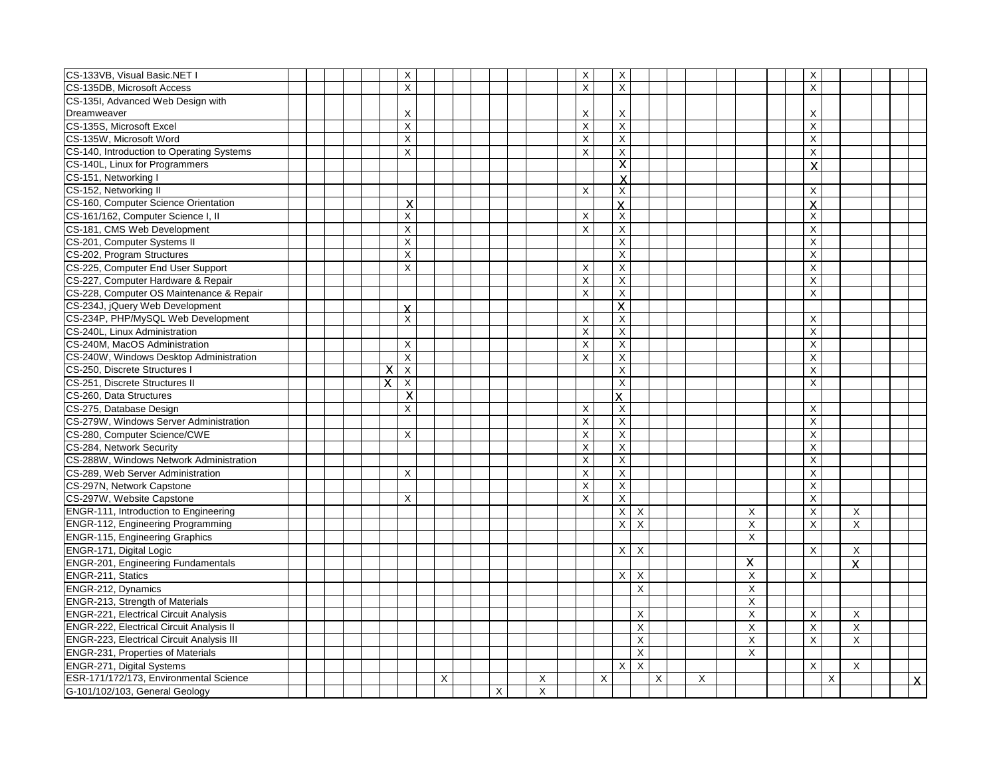| CS-133VB, Visual Basic.NET I                     |  |  |   | $\overline{X}$          |   |  |   |   | X              |   | $\overline{\mathsf{x}}$   |                           |   |   |             | $\overline{X}$            |   |                |  |              |
|--------------------------------------------------|--|--|---|-------------------------|---|--|---|---|----------------|---|---------------------------|---------------------------|---|---|-------------|---------------------------|---|----------------|--|--------------|
| CS-135DB, Microsoft Access                       |  |  |   | $\times$                |   |  |   |   | X              |   | $\sf X$                   |                           |   |   |             | $\mathsf{X}$              |   |                |  |              |
| CS-135I, Advanced Web Design with                |  |  |   |                         |   |  |   |   |                |   |                           |                           |   |   |             |                           |   |                |  |              |
| Dreamweaver                                      |  |  |   | Χ                       |   |  |   |   | Χ              |   | X                         |                           |   |   |             | X                         |   |                |  |              |
| CS-135S, Microsoft Excel                         |  |  |   | $\times$                |   |  |   |   | X              |   | X                         |                           |   |   |             | $\mathsf X$               |   |                |  |              |
| CS-135W, Microsoft Word                          |  |  |   | X                       |   |  |   |   | X              |   | X                         |                           |   |   |             | X                         |   |                |  |              |
| CS-140, Introduction to Operating Systems        |  |  |   | X                       |   |  |   |   | X              |   | X                         |                           |   |   |             | X                         |   |                |  |              |
| CS-140L, Linux for Programmers                   |  |  |   |                         |   |  |   |   |                |   | $\overline{\mathsf{x}}$   |                           |   |   |             | $\boldsymbol{\mathsf{x}}$ |   |                |  |              |
| CS-151, Networking I                             |  |  |   |                         |   |  |   |   |                |   | X                         |                           |   |   |             |                           |   |                |  |              |
| CS-152, Networking II                            |  |  |   |                         |   |  |   |   | X              |   | X                         |                           |   |   |             | X                         |   |                |  |              |
| CS-160, Computer Science Orientation             |  |  |   | X                       |   |  |   |   |                |   | $\overline{\mathsf{X}}$   |                           |   |   |             | $\mathsf{x}$              |   |                |  |              |
| CS-161/162, Computer Science I, II               |  |  |   | X                       |   |  |   |   | X              |   | $\times$                  |                           |   |   |             | $\pmb{\times}$            |   |                |  |              |
| CS-181, CMS Web Development                      |  |  |   | $\overline{\mathsf{x}}$ |   |  |   |   | X              |   | X                         |                           |   |   |             | $\pmb{\times}$            |   |                |  |              |
| CS-201, Computer Systems II                      |  |  |   | $\overline{X}$          |   |  |   |   |                |   | X                         |                           |   |   |             | $\pmb{\times}$            |   |                |  |              |
| CS-202, Program Structures                       |  |  |   | X                       |   |  |   |   |                |   | $\times$                  |                           |   |   |             | X                         |   |                |  |              |
| CS-225, Computer End User Support                |  |  |   | $\times$                |   |  |   |   | X              |   | $\sf X$                   |                           |   |   |             | X                         |   |                |  |              |
| CS-227, Computer Hardware & Repair               |  |  |   |                         |   |  |   |   | X              |   | $\pmb{\times}$            |                           |   |   |             | $\boldsymbol{\mathsf{X}}$ |   |                |  |              |
| CS-228, Computer OS Maintenance & Repair         |  |  |   |                         |   |  |   |   | X              |   | $\pmb{\times}$            |                           |   |   |             | X                         |   |                |  |              |
| CS-234J, jQuery Web Development                  |  |  |   | $\mathsf{x}$            |   |  |   |   |                |   | $\overline{\mathsf{x}}$   |                           |   |   |             |                           |   |                |  |              |
| CS-234P, PHP/MySQL Web Development               |  |  |   | X                       |   |  |   |   | X              |   | X                         |                           |   |   |             | X                         |   |                |  |              |
| CS-240L, Linux Administration                    |  |  |   |                         |   |  |   |   | X              |   | $\mathsf X$               |                           |   |   |             | $\boldsymbol{\mathsf{X}}$ |   |                |  |              |
| CS-240M, MacOS Administration                    |  |  |   | X                       |   |  |   |   | X              |   | X                         |                           |   |   |             | $\overline{X}$            |   |                |  |              |
| CS-240W, Windows Desktop Administration          |  |  |   | $\overline{\mathsf{X}}$ |   |  |   |   | $\mathsf{X}$   |   | $\overline{\mathsf{x}}$   |                           |   |   |             | $\overline{X}$            |   |                |  |              |
| CS-250, Discrete Structures I                    |  |  | х | $\overline{\mathsf{x}}$ |   |  |   |   |                |   | $\boldsymbol{\mathsf{X}}$ |                           |   |   |             | $\mathsf X$               |   |                |  |              |
| CS-251, Discrete Structures II                   |  |  | X | $\overline{\mathsf{x}}$ |   |  |   |   |                |   | $\boldsymbol{\mathsf{X}}$ |                           |   |   |             | $\pmb{\times}$            |   |                |  |              |
| CS-260, Data Structures                          |  |  |   | $\overline{\mathsf{x}}$ |   |  |   |   |                |   | X.                        |                           |   |   |             |                           |   |                |  |              |
| CS-275, Database Design                          |  |  |   | $\times$                |   |  |   |   | X              |   | X                         |                           |   |   |             | X                         |   |                |  |              |
| CS-279W, Windows Server Administration           |  |  |   |                         |   |  |   |   | X              |   | X                         |                           |   |   |             | X                         |   |                |  |              |
| CS-280, Computer Science/CWE                     |  |  |   | X                       |   |  |   |   | X              |   | X                         |                           |   |   |             | X                         |   |                |  |              |
| CS-284, Network Security                         |  |  |   |                         |   |  |   |   | X              |   | X                         |                           |   |   |             | $\overline{X}$            |   |                |  |              |
| CS-288W, Windows Network Administration          |  |  |   |                         |   |  |   |   | X              |   | $\boldsymbol{\mathsf{X}}$ |                           |   |   |             | $\boldsymbol{\mathsf{X}}$ |   |                |  |              |
| CS-289, Web Server Administration                |  |  |   | X                       |   |  |   |   | $\pmb{\times}$ |   | X                         |                           |   |   |             | $\boldsymbol{\mathsf{X}}$ |   |                |  |              |
| CS-297N, Network Capstone                        |  |  |   |                         |   |  |   |   | $\pmb{\times}$ |   | $\mathsf X$               |                           |   |   |             | $\mathsf X$               |   |                |  |              |
| CS-297W, Website Capstone                        |  |  |   | X                       |   |  |   |   | X              |   | X                         |                           |   |   |             | X                         |   |                |  |              |
| <b>ENGR-111, Introduction to Engineering</b>     |  |  |   |                         |   |  |   |   |                |   | X                         | $\boldsymbol{\mathsf{X}}$ |   |   | X           | $\mathsf X$               |   | X              |  |              |
| <b>ENGR-112, Engineering Programming</b>         |  |  |   |                         |   |  |   |   |                |   | X                         | $\mathsf X$               |   |   | X           | $\pmb{\times}$            |   | $\mathsf X$    |  |              |
| <b>ENGR-115, Engineering Graphics</b>            |  |  |   |                         |   |  |   |   |                |   |                           |                           |   |   | X           |                           |   |                |  |              |
| ENGR-171, Digital Logic                          |  |  |   |                         |   |  |   |   |                |   | $\times$                  | $\times$                  |   |   |             | X                         |   | $\times$       |  |              |
| <b>ENGR-201, Engineering Fundamentals</b>        |  |  |   |                         |   |  |   |   |                |   |                           |                           |   |   | X           |                           |   | $\mathbf{x}$   |  |              |
| ENGR-211, Statics                                |  |  |   |                         |   |  |   |   |                |   | X                         | X                         |   |   | $\times$    | X                         |   |                |  |              |
| ENGR-212, Dynamics                               |  |  |   |                         |   |  |   |   |                |   |                           | X                         |   |   | $\mathsf X$ |                           |   |                |  |              |
| ENGR-213, Strength of Materials                  |  |  |   |                         |   |  |   |   |                |   |                           |                           |   |   | X           |                           |   |                |  |              |
| <b>ENGR-221, Electrical Circuit Analysis</b>     |  |  |   |                         |   |  |   |   |                |   |                           | Χ                         |   |   | X           | X                         |   | X              |  |              |
| <b>ENGR-222, Electrical Circuit Analysis II</b>  |  |  |   |                         |   |  |   |   |                |   |                           | $\overline{\mathsf{x}}$   |   |   | X           | $\overline{X}$            |   | $\overline{X}$ |  |              |
| <b>ENGR-223, Electrical Circuit Analysis III</b> |  |  |   |                         |   |  |   |   |                |   |                           | $\mathsf X$               |   |   | X           | $\sf X$                   |   | $\times$       |  |              |
| <b>ENGR-231, Properties of Materials</b>         |  |  |   |                         |   |  |   |   |                |   |                           | $\overline{X}$            |   |   | X           |                           |   |                |  |              |
| ENGR-271, Digital Systems                        |  |  |   |                         |   |  |   |   |                |   | $\times$                  | $\boldsymbol{\mathsf{X}}$ |   |   |             | X                         |   | X              |  |              |
| ESR-171/172/173, Environmental Science           |  |  |   |                         | X |  |   | X |                | X |                           |                           | X | X |             |                           | X |                |  | $\mathsf{x}$ |
| G-101/102/103, General Geology                   |  |  |   |                         |   |  | X | X |                |   |                           |                           |   |   |             |                           |   |                |  |              |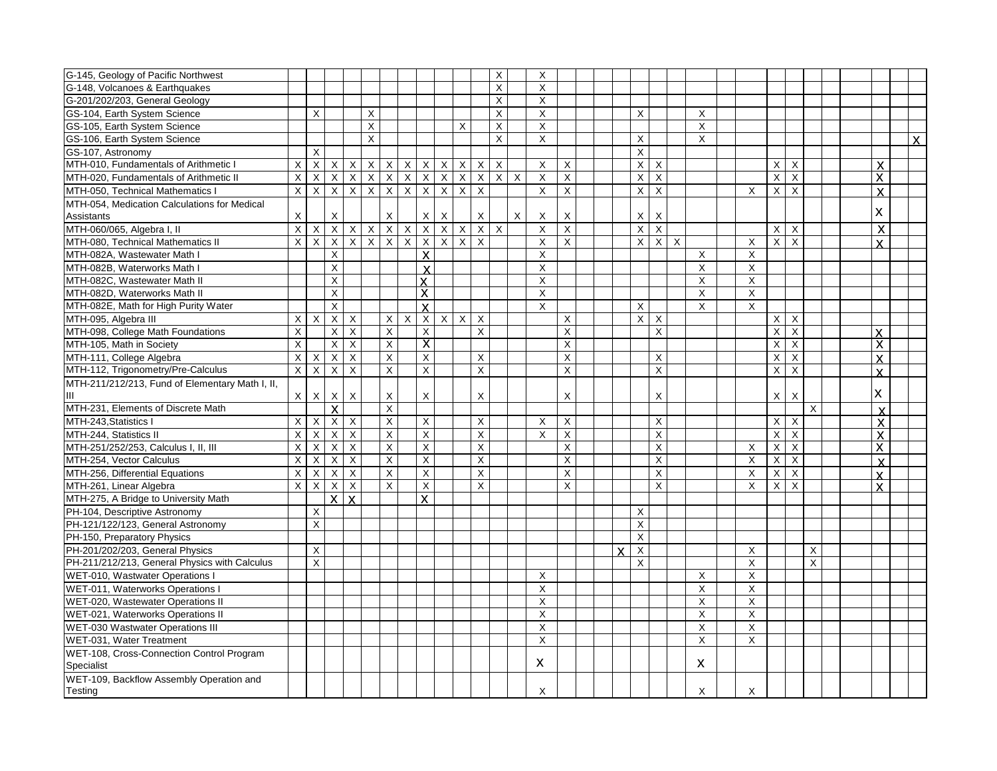| G-145, Geology of Pacific Northwest                     |                |                         |                         |                           |                |                         |                |                           |                         |                           |                | X              |          | X              |                           |  |          |                         |                |                |                              |                                       |                           |                           |              |  |                              |                |
|---------------------------------------------------------|----------------|-------------------------|-------------------------|---------------------------|----------------|-------------------------|----------------|---------------------------|-------------------------|---------------------------|----------------|----------------|----------|----------------|---------------------------|--|----------|-------------------------|----------------|----------------|------------------------------|---------------------------------------|---------------------------|---------------------------|--------------|--|------------------------------|----------------|
| G-148, Volcanoes & Earthquakes                          |                |                         |                         |                           |                |                         |                |                           |                         |                           |                | X              |          | X              |                           |  |          |                         |                |                |                              |                                       |                           |                           |              |  |                              |                |
| G-201/202/203, General Geology                          |                |                         |                         |                           |                |                         |                |                           |                         |                           |                | X              |          | X              |                           |  |          |                         |                |                |                              |                                       |                           |                           |              |  |                              |                |
| GS-104, Earth System Science                            |                | X                       |                         |                           | X              |                         |                |                           |                         |                           |                | X              |          | X              |                           |  |          | X                       |                |                | X                            |                                       |                           |                           |              |  |                              |                |
| GS-105, Earth System Science                            |                |                         |                         |                           | $\times$       |                         |                |                           |                         | $\times$                  |                | X              |          | X              |                           |  |          |                         |                |                | X                            |                                       |                           |                           |              |  |                              |                |
| GS-106, Earth System Science                            |                |                         |                         |                           | $\times$       |                         |                |                           |                         |                           |                | $\sf X$        |          | X              |                           |  |          | X                       |                |                | X                            |                                       |                           |                           |              |  |                              | $\overline{X}$ |
| GS-107, Astronomy                                       |                | X                       |                         |                           |                |                         |                |                           |                         |                           |                |                |          |                |                           |  |          | $\overline{X}$          |                |                |                              |                                       |                           |                           |              |  |                              |                |
| MTH-010, Fundamentals of Arithmetic I                   | $\mathsf{X}$   | $\times$                | $\times$                | X                         | $\mathsf{X}$   | $\times$                | $\times$       | $\mathsf{x}$              | $\times$                | $\sf X$                   | $\mathsf{X}$   | X              |          | X              | X                         |  |          | $\pmb{\times}$          | X              |                |                              |                                       | X                         | $\times$                  |              |  | X                            |                |
| MTH-020, Fundamentals of Arithmetic II                  | $\mathsf{X}$   | X                       | X                       | X                         | $\overline{X}$ | $\mathsf{X}$            | $\overline{X}$ | $\overline{X}$            | $\overline{\mathsf{x}}$ | $\boldsymbol{\mathsf{X}}$ | $\overline{X}$ | $\overline{X}$ | X        | X              | X                         |  |          | X                       | X              |                |                              |                                       | X                         | X                         |              |  | $\pmb{\times}$               |                |
| MTH-050, Technical Mathematics                          | $\times$       | $\overline{X}$          | $\overline{X}$          | $\overline{X}$            | $\overline{X}$ | $\overline{X}$          | $\overline{X}$ | $\overline{X}$            | $\overline{X}$          | $\mathsf X$               | $\sf X$        |                |          | X              | X                         |  |          | $\pmb{\times}$          | $\times$       |                |                              | X                                     | $\boldsymbol{\mathsf{X}}$ | $\sf X$                   |              |  | $\mathbf{x}$                 |                |
| MTH-054. Medication Calculations for Medical            |                |                         |                         |                           |                |                         |                |                           |                         |                           |                |                |          |                |                           |  |          |                         |                |                |                              |                                       |                           |                           |              |  |                              |                |
| Assistants                                              | $\times$       |                         | X                       |                           |                | $\mathsf{X}$            |                | $\mathsf{X}$              | $\times$                |                           | $\mathsf{X}$   |                | $\times$ | $\times$       | X                         |  |          | X                       | X              |                |                              |                                       |                           |                           |              |  | $\pmb{\times}$               |                |
| MTH-060/065, Algebra I, II                              | $\times$       | X                       | $\overline{X}$          | $X$ $X$                   |                | $\overline{X}$          | $\overline{X}$ | $\overline{X}$            | $\overline{X}$          | $\overline{\mathsf{x}}$   | $\overline{X}$ | $\overline{X}$ |          | $\pmb{\times}$ | $\pmb{\times}$            |  |          | $\overline{\mathsf{X}}$ | $\overline{X}$ |                |                              |                                       | $\overline{X}$            | $\mathsf{X}$              |              |  | X                            |                |
| MTH-080, Technical Mathematics II                       | $\mathsf{X}$   | $\sf X$                 | $\overline{X}$          | $\overline{X}$            | $\overline{X}$ | $\overline{X}$          | $\overline{X}$ | $\overline{X}$            | $\overline{X}$          | $\times$                  | $\mathsf{X}$   |                |          | X              | X                         |  |          | $\overline{X}$          | $\overline{X}$ | $\overline{X}$ |                              | X                                     | $\overline{X}$            | $\sf X$                   |              |  | Y                            |                |
| MTH-082A, Wastewater Math I                             |                |                         | X                       |                           |                |                         |                | X                         |                         |                           |                |                |          | X              |                           |  |          |                         |                |                | X                            | X                                     |                           |                           |              |  |                              |                |
| MTH-082B. Waterworks Math I                             |                |                         | $\pmb{\times}$          |                           |                |                         |                | $\overline{\mathsf{x}}$   |                         |                           |                |                |          | X              |                           |  |          |                         |                |                | X                            | X                                     |                           |                           |              |  |                              |                |
| MTH-082C, Wastewater Math II                            |                |                         | X                       |                           |                |                         |                | <b>X</b>                  |                         |                           |                |                |          | X              |                           |  |          |                         |                |                | X                            | X                                     |                           |                           |              |  |                              |                |
| MTH-082D. Waterworks Math II                            |                |                         | X                       |                           |                |                         |                | X                         |                         |                           |                |                |          | X              |                           |  |          |                         |                |                | X                            | $\times$                              |                           |                           |              |  |                              |                |
| MTH-082E, Math for High Purity Water                    |                |                         | $\pmb{\times}$          |                           |                |                         |                | X                         |                         |                           |                |                |          | X              |                           |  |          | X                       |                |                | X                            | X                                     |                           |                           |              |  |                              |                |
| MTH-095, Algebra III                                    | X              | X                       | X                       | X                         |                | $\times$                | X              | $\overline{X}$            | $X$ $X$                 |                           | $\mathsf{X}$   |                |          |                | X                         |  |          | X                       | X              |                |                              |                                       | $\times$                  | $\times$                  |              |  |                              |                |
| MTH-098, College Math Foundations                       | X              |                         | $\sf X$                 | X                         |                | X                       |                | $\boldsymbol{\mathsf{X}}$ |                         |                           | $\mathsf X$    |                |          |                | X                         |  |          |                         | X              |                |                              |                                       | $\boldsymbol{\mathsf{X}}$ | $\boldsymbol{\mathsf{X}}$ |              |  | $\mathsf{x}$                 |                |
| MTH-105, Math in Society                                | X              |                         | X                       | X                         |                | X                       |                | X                         |                         |                           |                |                |          |                | Χ                         |  |          |                         |                |                |                              |                                       | X                         | X                         |              |  | $\overline{\mathsf{x}}$      |                |
| MTH-111, College Algebra                                | X              | X                       | $\overline{X}$          | X                         |                | X                       |                | X                         |                         |                           | X              |                |          |                | Χ                         |  |          |                         | X              |                |                              |                                       | Χ                         | X                         |              |  | $\boldsymbol{\mathsf{x}}$    |                |
| MTH-112, Trigonometry/Pre-Calculus                      | $\overline{X}$ | $\overline{X}$          | $\overline{X}$          | $\overline{X}$            |                | $\overline{X}$          |                | $\pmb{\times}$            |                         |                           | $\overline{X}$ |                |          |                | $\overline{X}$            |  |          |                         | $\overline{X}$ |                |                              |                                       | $\overline{\mathsf{x}}$   | $\mathsf X$               |              |  |                              |                |
| MTH-211/212/213, Fund of Elementary Math I, II,         |                |                         |                         |                           |                |                         |                |                           |                         |                           |                |                |          |                |                           |  |          |                         |                |                |                              |                                       |                           |                           |              |  | $\mathbf{x}$                 |                |
|                                                         | X              | $\mathsf X$             | X                       | X                         |                | X                       |                | $\pmb{\times}$            |                         |                           | X              |                |          |                | X                         |  |          |                         | X              |                |                              |                                       | X                         | X                         |              |  | X                            |                |
| MTH-231, Elements of Discrete Math                      |                |                         | $\overline{\mathsf{x}}$ |                           |                | $\overline{X}$          |                |                           |                         |                           |                |                |          |                |                           |  |          |                         |                |                |                              |                                       |                           |                           | $\mathsf{X}$ |  | $\mathbf{x}$                 |                |
| MTH-243, Statistics I                                   | $\times$       | $\mathsf X$             | $\overline{X}$          | X                         |                | $\mathsf X$             |                | $\overline{X}$            |                         |                           | X              |                |          | X              | $\times$                  |  |          |                         | X              |                |                              |                                       | X                         | X                         |              |  | $\boldsymbol{\mathsf{X}}$    |                |
| MTH-244, Statistics II                                  | $\mathsf{X}$   | $\overline{X}$          | $\overline{\mathsf{X}}$ | $\boldsymbol{\mathsf{X}}$ |                | $\overline{X}$          |                | $\overline{X}$            |                         |                           | $\pmb{\times}$ |                |          | X              | $\mathsf X$               |  |          |                         | $\mathsf X$    |                |                              |                                       | $\boldsymbol{\mathsf{X}}$ | $\boldsymbol{\mathsf{X}}$ |              |  | $\boldsymbol{\mathsf{x}}$    |                |
| MTH-251/252/253, Calculus I, II, III                    | $\times$       | $\overline{X}$          | $\overline{X}$          | $\mathsf X$               |                | $\mathsf X$             |                | $\overline{X}$            |                         |                           | $\mathsf X$    |                |          |                | $\boldsymbol{\mathsf{X}}$ |  |          |                         | X              |                |                              | X                                     | $\boldsymbol{\mathsf{X}}$ | X                         |              |  | X                            |                |
| MTH-254, Vector Calculus                                | $\mathsf{X}$   | $\overline{\mathsf{x}}$ | $\overline{X}$          | $\boldsymbol{\mathsf{X}}$ |                | $\overline{\mathsf{x}}$ |                | $\mathsf{X}$              |                         |                           | $\overline{X}$ |                |          |                | X                         |  |          |                         | $\sf X$        |                |                              | $\boldsymbol{\mathsf{X}}$             | $\boldsymbol{\mathsf{X}}$ | $\boldsymbol{\mathsf{X}}$ |              |  | $\mathbf{x}$                 |                |
| MTH-256, Differential Equations                         | $\times$       | X                       | X                       | $\mathsf X$               |                | $\mathsf X$             |                | $\mathsf{X}$              |                         |                           | $\pmb{\times}$ |                |          |                | X                         |  |          |                         | X              |                |                              | X                                     | $\times$                  | X                         |              |  |                              |                |
| MTH-261, Linear Algebra                                 | $\times$       | $\mathsf X$             | X                       | X                         |                | $\mathsf{X}$            |                | $\mathsf{X}$              |                         |                           | X              |                |          |                | X                         |  |          |                         | X              |                |                              | X                                     | X                         | $\times$                  |              |  | $\mathbf{x}$<br>$\mathbf{x}$ |                |
| MTH-275, A Bridge to University Math                    |                |                         | $\mathsf{x}$            | $\mathbf{x}$              |                |                         |                | $\mathbf{x}$              |                         |                           |                |                |          |                |                           |  |          |                         |                |                |                              |                                       |                           |                           |              |  |                              |                |
| PH-104, Descriptive Astronomy                           |                | X                       |                         |                           |                |                         |                |                           |                         |                           |                |                |          |                |                           |  |          | X                       |                |                |                              |                                       |                           |                           |              |  |                              |                |
| PH-121/122/123, General Astronomy                       |                | X                       |                         |                           |                |                         |                |                           |                         |                           |                |                |          |                |                           |  |          | X                       |                |                |                              |                                       |                           |                           |              |  |                              |                |
| PH-150, Preparatory Physics                             |                |                         |                         |                           |                |                         |                |                           |                         |                           |                |                |          |                |                           |  |          | X                       |                |                |                              |                                       |                           |                           |              |  |                              |                |
| PH-201/202/203, General Physics                         |                | X                       |                         |                           |                |                         |                |                           |                         |                           |                |                |          |                |                           |  |          |                         |                |                |                              | X                                     |                           |                           |              |  |                              |                |
| PH-211/212/213, General Physics with Calculus           |                | X                       |                         |                           |                |                         |                |                           |                         |                           |                |                |          |                |                           |  | <b>Y</b> | X<br>X                  |                |                |                              | X                                     |                           |                           | X<br>X       |  |                              |                |
| WET-010, Wastwater Operations I                         |                |                         |                         |                           |                |                         |                |                           |                         |                           |                |                |          | Χ              |                           |  |          |                         |                |                | X                            | X                                     |                           |                           |              |  |                              |                |
| WET-011, Waterworks Operations I                        |                |                         |                         |                           |                |                         |                |                           |                         |                           |                |                |          |                |                           |  |          |                         |                |                | X                            | X                                     |                           |                           |              |  |                              |                |
| WET-020, Wastewater Operations II                       |                |                         |                         |                           |                |                         |                |                           |                         |                           |                |                |          | X              |                           |  |          |                         |                |                | X                            | X                                     |                           |                           |              |  |                              |                |
| <b>WET-021, Waterworks Operations II</b>                |                |                         |                         |                           |                |                         |                |                           |                         |                           |                |                |          | X              |                           |  |          |                         |                |                |                              | $\overline{\mathsf{x}}$               |                           |                           |              |  |                              |                |
|                                                         |                |                         |                         |                           |                |                         |                |                           |                         |                           |                |                |          | X              |                           |  |          |                         |                |                | X                            |                                       |                           |                           |              |  |                              |                |
| <b>WET-030 Wastwater Operations III</b>                 |                |                         |                         |                           |                |                         |                |                           |                         |                           |                |                |          | X<br>X         |                           |  |          |                         |                |                | X<br>$\overline{\mathsf{x}}$ | $\boldsymbol{\mathsf{X}}$<br>$\times$ |                           |                           |              |  |                              |                |
| WET-031, Water Treatment                                |                |                         |                         |                           |                |                         |                |                           |                         |                           |                |                |          |                |                           |  |          |                         |                |                |                              |                                       |                           |                           |              |  |                              |                |
| WET-108, Cross-Connection Control Program<br>Specialist |                |                         |                         |                           |                |                         |                |                           |                         |                           |                |                |          | х              |                           |  |          |                         |                |                | X                            |                                       |                           |                           |              |  |                              |                |
| WET-109, Backflow Assembly Operation and                |                |                         |                         |                           |                |                         |                |                           |                         |                           |                |                |          |                |                           |  |          |                         |                |                |                              |                                       |                           |                           |              |  |                              |                |
| Testing                                                 |                |                         |                         |                           |                |                         |                |                           |                         |                           |                |                |          | X              |                           |  |          |                         |                |                | X                            | X                                     |                           |                           |              |  |                              |                |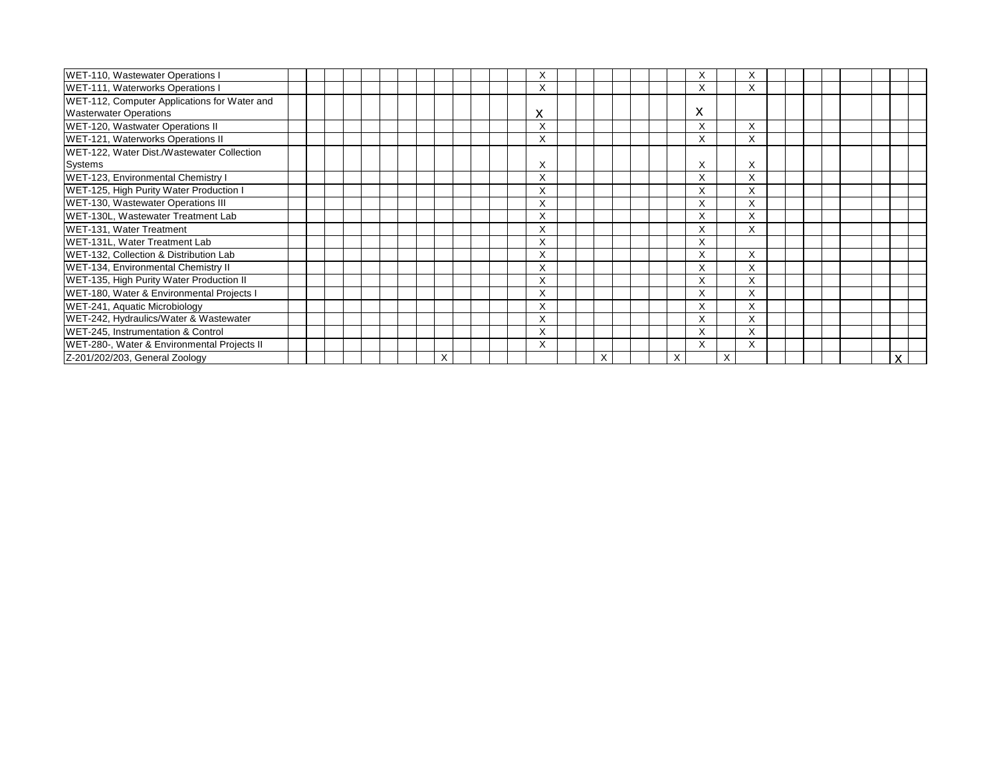| WET-110, Wastewater Operations I             |  |  |   |  | ᄉ                 |  |   |  |   | ⋏                 |   | X |  |  |   |  |
|----------------------------------------------|--|--|---|--|-------------------|--|---|--|---|-------------------|---|---|--|--|---|--|
| WET-111, Waterworks Operations I             |  |  |   |  | X                 |  |   |  |   | X                 |   | X |  |  |   |  |
| WET-112, Computer Applications for Water and |  |  |   |  |                   |  |   |  |   |                   |   |   |  |  |   |  |
| <b>Wasterwater Operations</b>                |  |  |   |  | X                 |  |   |  |   | X                 |   |   |  |  |   |  |
| WET-120, Wastwater Operations II             |  |  |   |  | X                 |  |   |  |   | X                 |   | X |  |  |   |  |
| WET-121, Waterworks Operations II            |  |  |   |  | X                 |  |   |  |   | ⋏                 |   | X |  |  |   |  |
| WET-122, Water Dist./Wastewater Collection   |  |  |   |  |                   |  |   |  |   |                   |   |   |  |  |   |  |
| Systems                                      |  |  |   |  | X                 |  |   |  |   | X                 |   | X |  |  |   |  |
| WET-123, Environmental Chemistry I           |  |  |   |  | X                 |  |   |  |   | $\checkmark$<br>⋏ |   | X |  |  |   |  |
| WET-125, High Purity Water Production I      |  |  |   |  | $\checkmark$<br>⋏ |  |   |  |   | $\sqrt{}$         |   | X |  |  |   |  |
| WET-130, Wastewater Operations III           |  |  |   |  | X                 |  |   |  |   |                   |   | X |  |  |   |  |
| WET-130L, Wastewater Treatment Lab           |  |  |   |  | ⋏                 |  |   |  |   | ⋏                 |   | X |  |  |   |  |
| WET-131, Water Treatment                     |  |  |   |  | X                 |  |   |  |   |                   |   | X |  |  |   |  |
| WET-131L, Water Treatment Lab                |  |  |   |  | X                 |  |   |  |   | X                 |   |   |  |  |   |  |
| WET-132, Collection & Distribution Lab       |  |  |   |  | X                 |  |   |  |   | $\lambda$         |   | X |  |  |   |  |
| WET-134, Environmental Chemistry II          |  |  |   |  | X                 |  |   |  |   | $\checkmark$<br>Y |   | X |  |  |   |  |
| WET-135, High Purity Water Production II     |  |  |   |  | X                 |  |   |  |   | $\checkmark$<br>⋏ |   | X |  |  |   |  |
| WET-180, Water & Environmental Projects I    |  |  |   |  | X                 |  |   |  |   | $\checkmark$      |   | X |  |  |   |  |
| WET-241, Aquatic Microbiology                |  |  |   |  | X                 |  |   |  |   | $\checkmark$<br>⋏ |   | X |  |  |   |  |
| WET-242, Hydraulics/Water & Wastewater       |  |  |   |  | X                 |  |   |  |   |                   |   | X |  |  |   |  |
| WET-245, Instrumentation & Control           |  |  |   |  | X                 |  |   |  |   | $\checkmark$<br>⋏ |   | X |  |  |   |  |
| WET-280-, Water & Environmental Projects II  |  |  |   |  | X                 |  |   |  |   | $\checkmark$<br>v |   | X |  |  |   |  |
| Z-201/202/203, General Zoology               |  |  | X |  |                   |  | X |  | X |                   | X |   |  |  | X |  |